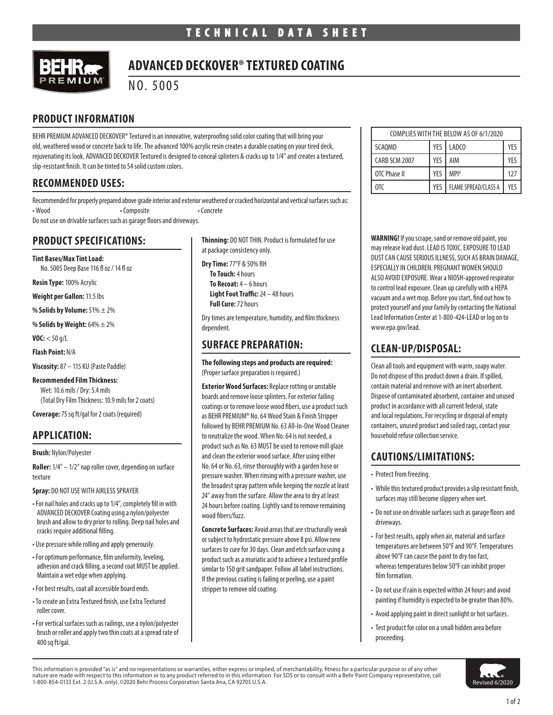

## **ADVANCED DECKOVER® TEXTURED COATING**

NO. 5005

#### **PRODUCT INFORMATION**

BEHR PREMIUM ADVANCED DECKOVER® Textured is an innovative, waterproofing solid color coating that will bring your old, weathered wood or concrete back to life. The advanced 100% acrylic resin creates a durable coating on your tired deck, rejuvenating its look. ADVANCED DECKOVER Textured is designed to conceal splinters & cracks up to 1/4" and creates a textured, slip-resistant finish. It can be tinted to 54 solid custom colors.

#### **RECOMMENDED USES:**

Recommended for properly prepared above grade interior and exterior weathered or cracked horizontal and vertical surfaces such as: • Wood • Composite • Concrete

Do not use on drivable surfaces such as garage floors and driveways.

### **PRODUCT SPECIFICATIONS:**

**Tint Bases/Max Tint Load:** No. 5005 Deep Base 116 fl oz / 14 fl oz

**Resin Type:** 100% Acrylic

**Weight per Gallon:** 11.5 lbs

**% Solids by Volume:** 51% ± 2%

**% Solids by Weight:** 64% ± 2%

**VOC:** < 50 g/L

**Flash Point:** N/A

**Viscosity:** 87 – 115 KU (Paste Paddle)

**Recommended Film Thickness:** Wet: 10.6 mils / Dry: 5.4 mils (Total Dry Film Thickness: 10.9 mils for 2 coats)

**Coverage:** 75 sq ft/gal for 2 coats (required)

## **APPLICATION:**

**Brush:** Nylon/Polyester

**Roller:** 1/4" – 1/2" nap roller cover, depending on surface texture

**Spray:** DO NOT USE WITH AIRLESS SPRAYER

- For nail holes and cracks up to 1/4", completely fill in with ADVANCED DECKOVER Coating using a nylon/polyester brush and allow to dry prior to rolling. Deep nail holes and cracks require additional filling.
- Use pressure while rolling and apply generously.
- For optimum performance, film uniformity, leveling, adhesion and crack filling, a second coat MUST be applied. Maintain a wet edge when applying.
- For best results, coat all accessible board ends.
- To create an Extra Textured finish, use Extra Textured roller cover.
- For vertical surfaces such as railings, use a nylon/polyester brush or roller and apply two thin coats at a spread rate of 400 sq ft/gal.

**Thinning:** DO NOT THIN. Product is formulated for use at package consistency only.

**Dry Time:** 77°F & 50% RH

**To Touch:** 4 hours **To Recoat:** 4 – 6 hours **Light Foot Traffic:** 24 – 48 hours **Full Cure:** 72 hours

Dry times are temperature, humidity, and film thickness dependent.

#### **SURFACE PREPARATION:**

**The following steps and products are required:**  (Proper surface preparation is required.)

**Exterior Wood Surfaces:** Replace rotting or unstable boards and remove loose splinters. For exterior failing coatings or to remove loose wood fibers, use a product such as BEHR PREMIUM® No. 64 Wood Stain & Finish Stripper followed by BEHR PREMIUM No. 63 All-In-One Wood Cleaner to neutralize the wood. When No. 64 is not needed, a product such as No. 63 MUST be used to remove mill glaze and clean the exterior wood surface. After using either No. 64 or No. 63, rinse thoroughly with a garden hose or pressure washer. When rinsing with a pressure washer, use the broadest spray pattern while keeping the nozzle at least 24" away from the surface. Allow the area to dry at least 24 hours before coating. Lightly sand to remove remaining wood fibers/fuzz.

**Concrete Surfaces:** Avoid areas that are structurally weak or subject to hydrostatic pressure above 8 psi. Allow new surfaces to cure for 30 days. Clean and etch surface using a product such as a muriatic acid to achieve a textured profile similar to 150 grit sandpaper. Follow all label instructions. If the previous coating is failing or peeling, use a paint stripper to remove old coating.

| COMPLIES WITH THE BELOW AS OF 6/1/2020 |     |                             |     |
|----------------------------------------|-----|-----------------------------|-----|
| <b>SCAOMD</b>                          | YFS | LADCO                       | YES |
| CARB SCM 2007                          | YFS | AIM                         | YFS |
| OTC Phase II                           | YFS | MPI#                        | 127 |
| 0TC                                    | YFS | <b>FLAME SPREAD/CLASS A</b> | YFS |

**WARNING!** If you scrape, sand or remove old paint, you may release lead dust. LEAD IS TOXIC. EXPOSURE TO LEAD DUST CAN CAUSE SERIOUS ILLNESS, SUCH AS BRAIN DAMAGE, ESPECIALLY IN CHILDREN. PREGNANT WOMEN SHOULD ALSO AVOID EXPOSURE. Wear a NIOSH-approved respirator to control lead exposure. Clean up carefully with a HEPA vacuum and a wet mop. Before you start, find out how to protect yourself and your family by contacting the National Lead Information Center at 1-800-424-LEAD or log on to www.epa.gov/lead.

#### **CLEAN-UP/DISPOSAL:**

Clean all tools and equipment with warm, soapy water. Do not dispose of this product down a drain. If spilled, contain material and remove with an inert absorbent. Dispose of contaminated absorbent, container and unused product in accordance with all current federal, state and local regulations. For recycling or disposal of empty containers, unused product and soiled rags, contact your household refuse collection service.

### **CAUTIONS/LIMITATIONS:**

- Protect from freezing.
- While this textured product provides a slip resistant finish, surfaces may still become slippery when wet.
- Do not use on drivable surfaces such as garage floors and driveways.
- For best results, apply when air, material and surface temperatures are between 50°F and 90°F. Temperatures above 90°F can cause the paint to dry too fast, whereas temperatures below 50°F can inhibit proper film formation.
- Do not use if rain is expected within 24 hours and avoid painting if humidity is expected to be greater than 80%.
- Avoid applying paint in direct sunlight or hot surfaces.
- Test product for color on a small hidden area before proceeding.

This information is provided "as is" and no representations or warranties, either express or implied, of merchantability, fitness for a particular purpose or of any other nature are made with respect to this information or to any product referred to in this information. For SDS or to consult with a Behr Paint Company representative, call **the search of the STA COM**<br>1-800-854-0133 Ext. 2 (U.